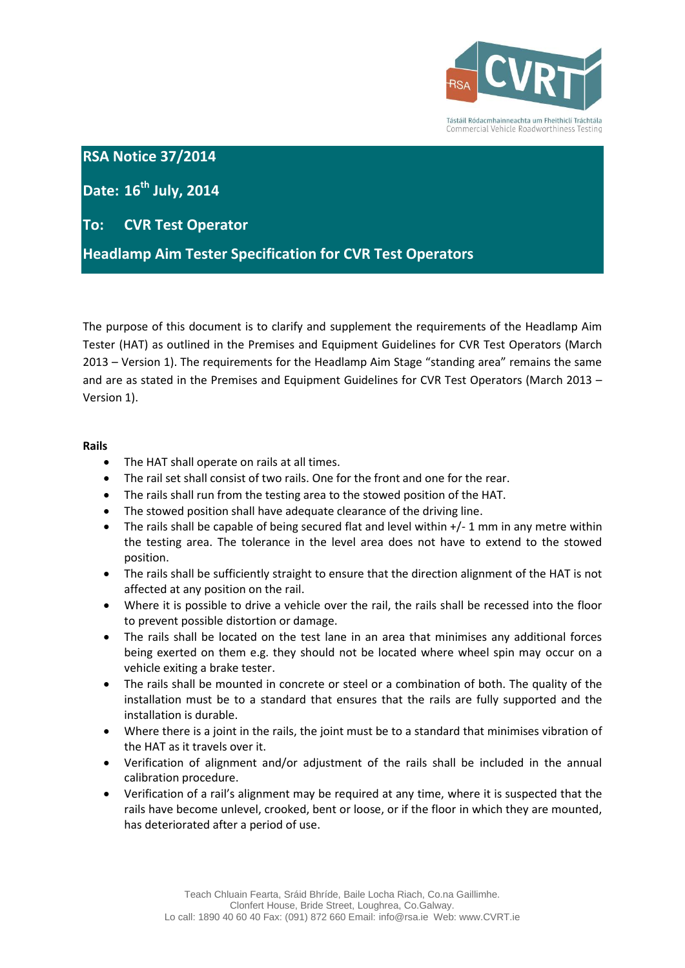

Tástáil Ródacmhainneachta um Fheithiclí Tráchtála Commercial Vehicle Roadworthiness Testing

## **RSA Notice 37/2014**

**Date: 16th July, 2014**

# **To: CVR Test Operator**

**Headlamp Aim Tester Specification for CVR Test Operators**

The purpose of this document is to clarify and supplement the requirements of the Headlamp Aim Tester (HAT) as outlined in the Premises and Equipment Guidelines for CVR Test Operators (March 2013 – Version 1). The requirements for the Headlamp Aim Stage "standing area" remains the same and are as stated in the Premises and Equipment Guidelines for CVR Test Operators (March 2013 – Version 1).

### **Rails**

- The HAT shall operate on rails at all times.
- The rail set shall consist of two rails. One for the front and one for the rear.
- The rails shall run from the testing area to the stowed position of the HAT.
- The stowed position shall have adequate clearance of the driving line.
- The rails shall be capable of being secured flat and level within +/- 1 mm in any metre within the testing area. The tolerance in the level area does not have to extend to the stowed position.
- The rails shall be sufficiently straight to ensure that the direction alignment of the HAT is not affected at any position on the rail.
- Where it is possible to drive a vehicle over the rail, the rails shall be recessed into the floor to prevent possible distortion or damage.
- The rails shall be located on the test lane in an area that minimises any additional forces being exerted on them e.g. they should not be located where wheel spin may occur on a vehicle exiting a brake tester.
- The rails shall be mounted in concrete or steel or a combination of both. The quality of the installation must be to a standard that ensures that the rails are fully supported and the installation is durable.
- Where there is a joint in the rails, the joint must be to a standard that minimises vibration of the HAT as it travels over it.
- Verification of alignment and/or adjustment of the rails shall be included in the annual calibration procedure.
- Verification of a rail's alignment may be required at any time, where it is suspected that the rails have become unlevel, crooked, bent or loose, or if the floor in which they are mounted, has deteriorated after a period of use.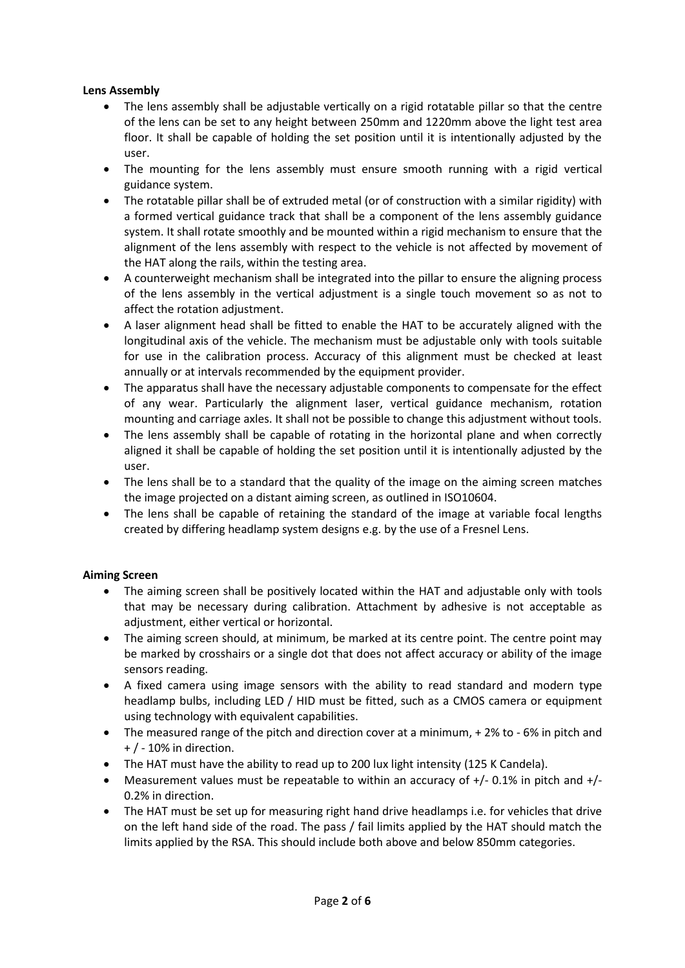### **Lens Assembly**

- The lens assembly shall be adjustable vertically on a rigid rotatable pillar so that the centre of the lens can be set to any height between 250mm and 1220mm above the light test area floor. It shall be capable of holding the set position until it is intentionally adjusted by the user.
- The mounting for the lens assembly must ensure smooth running with a rigid vertical guidance system.
- The rotatable pillar shall be of extruded metal (or of construction with a similar rigidity) with a formed vertical guidance track that shall be a component of the lens assembly guidance system. It shall rotate smoothly and be mounted within a rigid mechanism to ensure that the alignment of the lens assembly with respect to the vehicle is not affected by movement of the HAT along the rails, within the testing area.
- A counterweight mechanism shall be integrated into the pillar to ensure the aligning process of the lens assembly in the vertical adjustment is a single touch movement so as not to affect the rotation adjustment.
- A laser alignment head shall be fitted to enable the HAT to be accurately aligned with the longitudinal axis of the vehicle. The mechanism must be adjustable only with tools suitable for use in the calibration process. Accuracy of this alignment must be checked at least annually or at intervals recommended by the equipment provider.
- The apparatus shall have the necessary adjustable components to compensate for the effect of any wear. Particularly the alignment laser, vertical guidance mechanism, rotation mounting and carriage axles. It shall not be possible to change this adjustment without tools.
- The lens assembly shall be capable of rotating in the horizontal plane and when correctly aligned it shall be capable of holding the set position until it is intentionally adjusted by the user.
- The lens shall be to a standard that the quality of the image on the aiming screen matches the image projected on a distant aiming screen, as outlined in ISO10604.
- The lens shall be capable of retaining the standard of the image at variable focal lengths created by differing headlamp system designs e.g. by the use of a Fresnel Lens.

### **Aiming Screen**

- The aiming screen shall be positively located within the HAT and adjustable only with tools that may be necessary during calibration. Attachment by adhesive is not acceptable as adjustment, either vertical or horizontal.
- The aiming screen should, at minimum, be marked at its centre point. The centre point may be marked by crosshairs or a single dot that does not affect accuracy or ability of the image sensors reading.
- A fixed camera using image sensors with the ability to read standard and modern type headlamp bulbs, including LED / HID must be fitted, such as a CMOS camera or equipment using technology with equivalent capabilities.
- The measured range of the pitch and direction cover at a minimum, + 2% to 6% in pitch and + / - 10% in direction.
- The HAT must have the ability to read up to 200 lux light intensity (125 K Candela).
- Measurement values must be repeatable to within an accuracy of  $+/- 0.1\%$  in pitch and  $+/-$ 0.2% in direction.
- The HAT must be set up for measuring right hand drive headlamps i.e. for vehicles that drive on the left hand side of the road. The pass / fail limits applied by the HAT should match the limits applied by the RSA. This should include both above and below 850mm categories.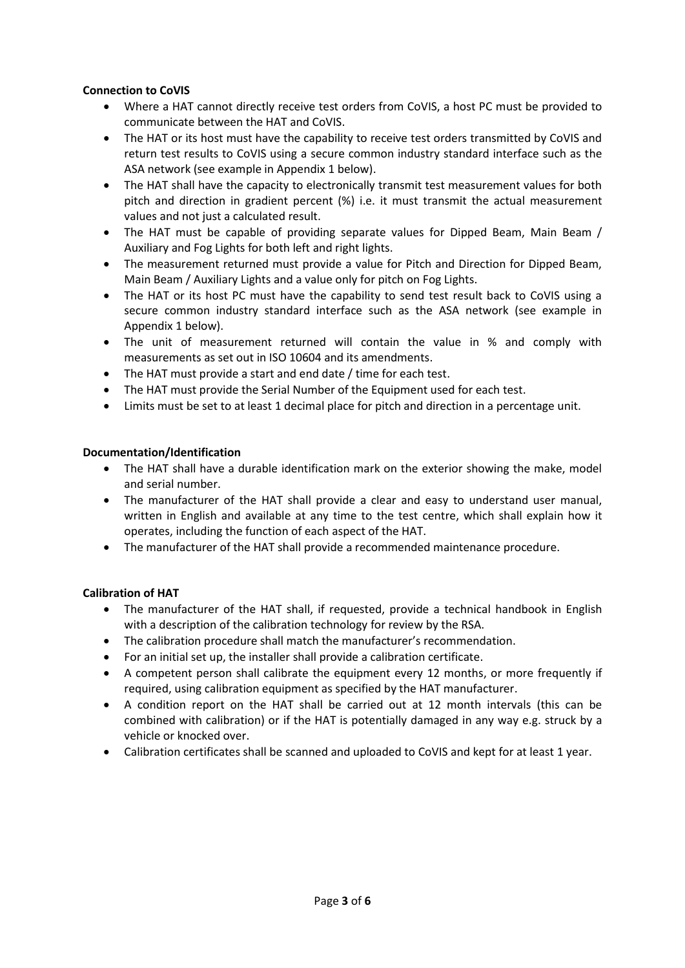#### **Connection to CoVIS**

- Where a HAT cannot directly receive test orders from CoVIS, a host PC must be provided to communicate between the HAT and CoVIS.
- The HAT or its host must have the capability to receive test orders transmitted by CoVIS and return test results to CoVIS using a secure common industry standard interface such as the ASA network (see example in Appendix 1 below).
- The HAT shall have the capacity to electronically transmit test measurement values for both pitch and direction in gradient percent (%) i.e. it must transmit the actual measurement values and not just a calculated result.
- The HAT must be capable of providing separate values for Dipped Beam, Main Beam / Auxiliary and Fog Lights for both left and right lights.
- The measurement returned must provide a value for Pitch and Direction for Dipped Beam, Main Beam / Auxiliary Lights and a value only for pitch on Fog Lights.
- The HAT or its host PC must have the capability to send test result back to CoVIS using a secure common industry standard interface such as the ASA network (see example in Appendix 1 below).
- The unit of measurement returned will contain the value in % and comply with measurements as set out in ISO 10604 and its amendments.
- The HAT must provide a start and end date / time for each test.
- The HAT must provide the Serial Number of the Equipment used for each test.
- Limits must be set to at least 1 decimal place for pitch and direction in a percentage unit.

#### **Documentation/Identification**

- The HAT shall have a durable identification mark on the exterior showing the make, model and serial number.
- The manufacturer of the HAT shall provide a clear and easy to understand user manual, written in English and available at any time to the test centre, which shall explain how it operates, including the function of each aspect of the HAT.
- The manufacturer of the HAT shall provide a recommended maintenance procedure.

### **Calibration of HAT**

- The manufacturer of the HAT shall, if requested, provide a technical handbook in English with a description of the calibration technology for review by the RSA.
- The calibration procedure shall match the manufacturer's recommendation.
- For an initial set up, the installer shall provide a calibration certificate.
- A competent person shall calibrate the equipment every 12 months, or more frequently if required, using calibration equipment as specified by the HAT manufacturer.
- A condition report on the HAT shall be carried out at 12 month intervals (this can be combined with calibration) or if the HAT is potentially damaged in any way e.g. struck by a vehicle or knocked over.
- Calibration certificates shall be scanned and uploaded to CoVIS and kept for at least 1 year.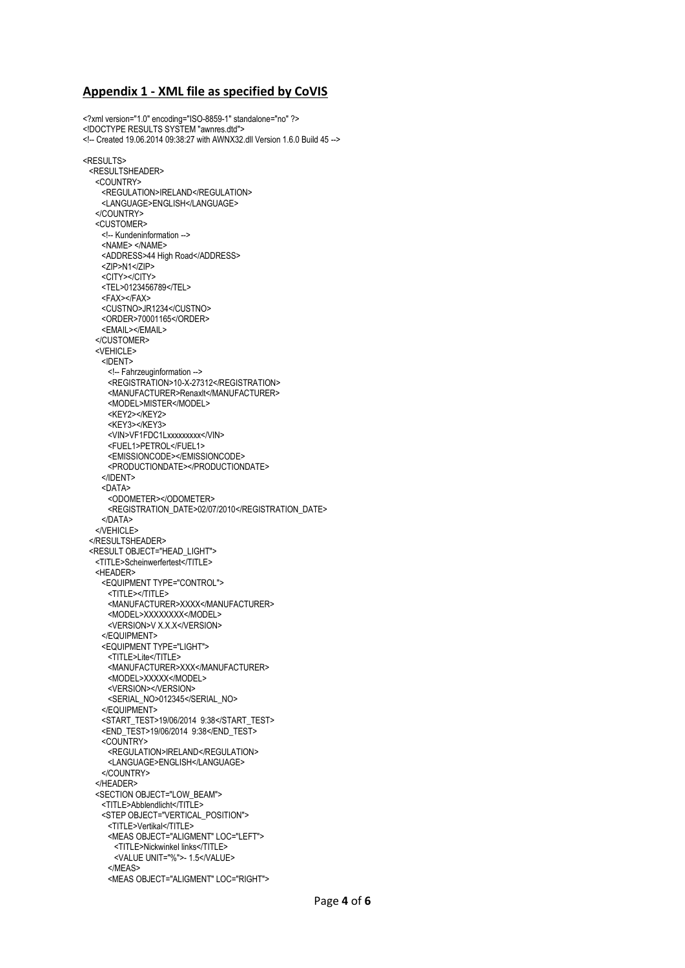#### **Appendix 1 - XML file as specified by CoVIS**

<?xml version="1.0" encoding="ISO-8859-1" standalone="no" ?> <!DOCTYPE RESULTS SYSTEM "awnres.dtd"> <!-- Created 19.06.2014 09:38:27 with AWNX32.dll Version 1.6.0 Build 45 --> <RESULTS> <RESULTSHEADER> <COUNTRY> <REGULATION>IRELAND</REGULATION> <LANGUAGE>ENGLISH</LANGUAGE> </COUNTRY> <CUSTOMER> <!-- Kundeninformation --> <NAME> </NAME> <ADDRESS>44 High Road</ADDRESS> <ZIP>N1</ZIP> <CITY></CITY> <TEL>0123456789</TEL> <FAX></FAX> <CUSTNO>JR1234</CUSTNO> <ORDER>70001165</ORDER> <EMAIL></EMAIL> </CUSTOMER> <VEHICLE> <IDENT> <!-- Fahrzeuginformation --> <REGISTRATION>10-X-27312</REGISTRATION> <MANUFACTURER>Renaxlt</MANUFACTURER> <MODEL>MISTER</MODEL> <KEY2></KEY2> <KEY3></KEY3> <VIN>VF1FDC1Lxxxxxxxxx</VIN> <FUEL1>PETROL</FUEL1> <EMISSIONCODE></EMISSIONCODE> <PRODUCTIONDATE></PRODUCTIONDATE> </IDENT> <DATA> <ODOMETER></ODOMETER> <REGISTRATION\_DATE>02/07/2010</REGISTRATION\_DATE> </DATA> </VEHICLE> </RESULTSHEADER> <RESULT OBJECT="HEAD\_LIGHT"> <TITLE>Scheinwerfertest</TITLE> <HEADER> <EQUIPMENT TYPE="CONTROL"> <TITLE></TITLE> <MANUFACTURER>XXXX</MANUFACTURER> <MODEL>XXXXXXXX</MODEL> <VERSION>V X.X.X</VERSION> </EQUIPMENT> <EQUIPMENT TYPE="LIGHT"> <TITLE>Lite</TITLE> <MANUFACTURER>XXX</MANUFACTURER> <MODEL>XXXXX</MODEL> <VERSION></VERSION> <SERIAL\_NO>012345</SERIAL\_NO> </EQUIPMENT> <START\_TEST>19/06/2014 9:38</START\_TEST> <END\_TEST>19/06/2014 9:38</END\_TEST> <COUNTRY> <REGULATION>IRELAND</REGULATION> <LANGUAGE>ENGLISH</LANGUAGE> </COUNTRY> </HEADER> <SECTION OBJECT="LOW\_BEAM"> <TITLE>Abblendlicht</TITLE> <STEP OBJECT="VERTICAL\_POSITION"> <TITLE>Vertikal</TITLE> <MEAS OBJECT="ALIGMENT" LOC="LEFT"> <TITLE>Nickwinkel links</TITLE> <VALUE UNIT="%">- 1.5</VALUE> </MEAS> <MEAS OBJECT="ALIGMENT" LOC="RIGHT">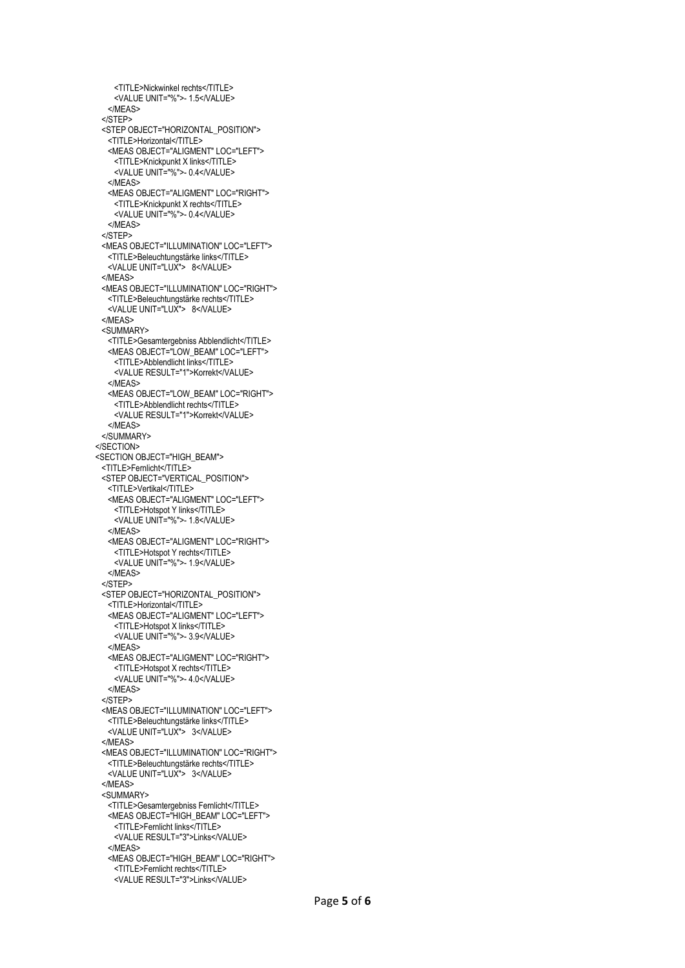```
 <TITLE>Nickwinkel rechts</TITLE>
   <VALUE UNIT="%">-1.5</VALUE>
   </MEAS>
 </STEP>
 <STEP OBJECT="HORIZONTAL_POSITION">
   <TITLE>Horizontal</TITLE>
   <MEAS OBJECT="ALIGMENT" LOC="LEFT">
    <TITLE>Knickpunkt X links</TITLE>
    <VALUE UNIT="%">- 0.4</VALUE>
   </MEAS>
   <MEAS OBJECT="ALIGMENT" LOC="RIGHT">
    <TITLE>Knickpunkt X rechts</TITLE>
   <VALUE UNIT="%">-0.4</VALUE>
   </MEAS>
 </STEP>
 <MEAS OBJECT="ILLUMINATION" LOC="LEFT">
   <TITLE>Beleuchtungstärke links</TITLE>
   <VALUE UNIT="LUX"> 8</VALUE>
 </MEAS>
 <MEAS OBJECT="ILLUMINATION" LOC="RIGHT">
   <TITLE>Beleuchtungstärke rechts</TITLE>
   <VALUE UNIT="LUX"> 8</VALUE>
 </MEAS>
 <SUMMARY>
   <TITLE>Gesamtergebniss Abblendlicht</TITLE>
   <MEAS OBJECT="LOW_BEAM" LOC="LEFT">
    <TITLE>Abblendlicht links</TITLE>
    <VALUE RESULT="1">Korrekt</VALUE>
   </MEAS>
   <MEAS OBJECT="LOW_BEAM" LOC="RIGHT">
    <TITLE>Abblendlicht rechts</TITLE>
    <VALUE RESULT="1">Korrekt</VALUE>
   </MEAS>
 </SUMMARY>
</SECTION>
<SECTION OBJECT="HIGH_BEAM">
 <TITLE>Fernlicht</TITLE>
 <STEP OBJECT="VERTICAL_POSITION">
   <TITLE>Vertikal</TITLE>
   <MEAS OBJECT="ALIGMENT" LOC="LEFT">
    <TITLE>Hotspot Y links</TITLE>
   <VALUE UNIT="%">- 1.8</VALUE>
   </MEAS>
   <MEAS OBJECT="ALIGMENT" LOC="RIGHT">
    <TITLE>Hotspot Y rechts</TITLE>
    <VALUE UNIT="%">- 1.9</VALUE>
   </MEAS>
 </STEP>
 <STEP OBJECT="HORIZONTAL_POSITION">
   <TITLE>Horizontal</TITLE>
   <MEAS OBJECT="ALIGMENT" LOC="LEFT">
    <TITLE>Hotspot X links</TITLE>
    <VALUE UNIT="%">- 3.9</VALUE>
   </MEAS>
   <MEAS OBJECT="ALIGMENT" LOC="RIGHT">
    <TITLE>Hotspot X rechts</TITLE>
   <VALUE UNIT="%">- 4.0</VALUE>
   </MEAS>
 </STEP>
 <MEAS OBJECT="ILLUMINATION" LOC="LEFT">
   <TITLE>Beleuchtungstärke links</TITLE>
   <VALUE UNIT="LUX"> 3</VALUE>
 </MEAS>
 <MEAS OBJECT="ILLUMINATION" LOC="RIGHT">
   <TITLE>Beleuchtungstärke rechts</TITLE>
   <VALUE UNIT="LUX"> 3</VALUE>
 </MEAS>
 <SUMMARY>
   <TITLE>Gesamtergebniss Fernlicht</TITLE>
   <MEAS OBJECT="HIGH_BEAM" LOC="LEFT">
    <TITLE>Fernlicht links</TITLE>
    <VALUE RESULT="3">Links</VALUE>
   </MEAS>
   <MEAS OBJECT="HIGH_BEAM" LOC="RIGHT">
    <TITLE>Fernlicht rechts</TITLE>
    <VALUE RESULT="3">Links</VALUE>
```